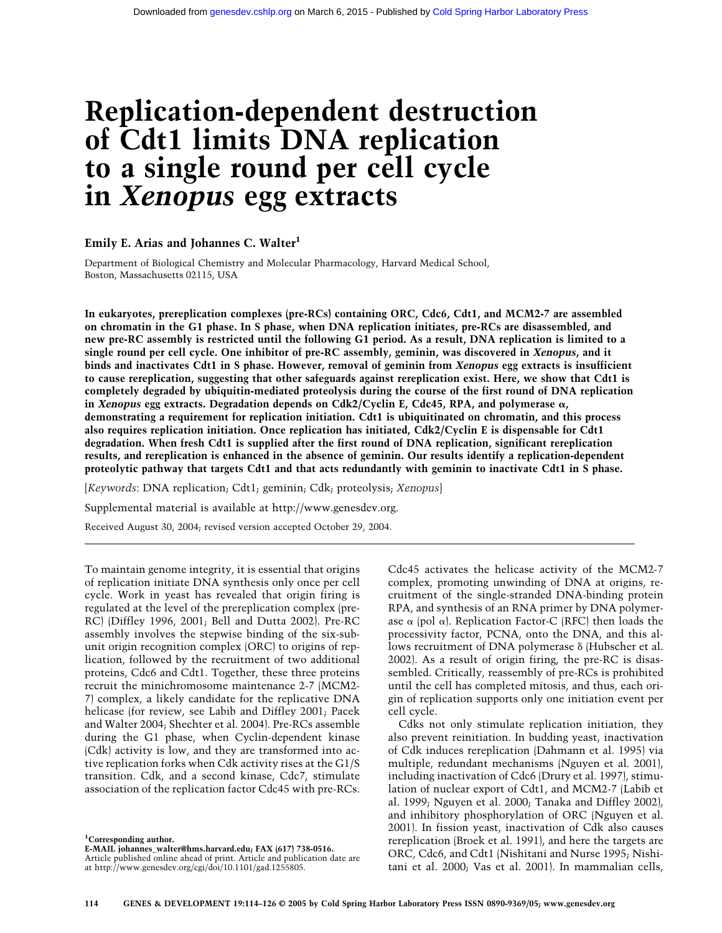# **Replication-dependent destruction of Cdt1 limits DNA replication to a single round per cell cycle in** *Xenopus* **egg extracts**

# **Emily E. Arias and Johannes C. Walter1**

Department of Biological Chemistry and Molecular Pharmacology, Harvard Medical School, Boston, Massachusetts 02115, USA

**In eukaryotes, prereplication complexes (pre-RCs) containing ORC, Cdc6, Cdt1, and MCM2-7 are assembled on chromatin in the G1 phase. In S phase, when DNA replication initiates, pre-RCs are disassembled, and new pre-RC assembly is restricted until the following G1 period. As a result, DNA replication is limited to a single round per cell cycle. One inhibitor of pre-RC assembly, geminin, was discovered in** *Xenopus***, and it binds and inactivates Cdt1 in S phase. However, removal of geminin from** *Xenopus* **egg extracts is insufficient to cause rereplication, suggesting that other safeguards against rereplication exist. Here, we show that Cdt1 is completely degraded by ubiquitin-mediated proteolysis during the course of the first round of DNA replication** in *Xenopus* egg extracts. Degradation depends on Cdk2/Cyclin E, Cdc45, RPA, and polymerase  $\alpha$ , **demonstrating a requirement for replication initiation. Cdt1 is ubiquitinated on chromatin, and this process also requires replication initiation. Once replication has initiated, Cdk2/Cyclin E is dispensable for Cdt1 degradation. When fresh Cdt1 is supplied after the first round of DNA replication, significant rereplication results, and rereplication is enhanced in the absence of geminin. Our results identify a replication-dependent proteolytic pathway that targets Cdt1 and that acts redundantly with geminin to inactivate Cdt1 in S phase.**

[*Keywords*: DNA replication; Cdt1; geminin; Cdk; proteolysis; *Xenopus*]

Supplemental material is available at http://www.genesdev.org.

Received August 30, 2004; revised version accepted October 29, 2004.

To maintain genome integrity, it is essential that origins of replication initiate DNA synthesis only once per cell cycle. Work in yeast has revealed that origin firing is regulated at the level of the prereplication complex (pre-RC) (Diffley 1996, 2001; Bell and Dutta 2002). Pre-RC assembly involves the stepwise binding of the six-subunit origin recognition complex (ORC) to origins of replication, followed by the recruitment of two additional proteins, Cdc6 and Cdt1. Together, these three proteins recruit the minichromosome maintenance 2-7 (MCM2- 7) complex, a likely candidate for the replicative DNA helicase (for review, see Labib and Diffley 2001; Pacek and Walter 2004; Shechter et al. 2004). Pre-RCs assemble during the G1 phase, when Cyclin-dependent kinase (Cdk) activity is low, and they are transformed into active replication forks when Cdk activity rises at the G1/S transition. Cdk, and a second kinase, Cdc7, stimulate association of the replication factor Cdc45 with pre-RCs. Cdc45 activates the helicase activity of the MCM2-7 complex, promoting unwinding of DNA at origins, recruitment of the single-stranded DNA-binding protein RPA, and synthesis of an RNA primer by DNA polymerase  $\alpha$  (pol  $\alpha$ ). Replication Factor-C (RFC) then loads the processivity factor, PCNA, onto the DNA, and this allows recruitment of DNA polymerase δ (Hubscher et al. 2002). As a result of origin firing, the pre-RC is disassembled. Critically, reassembly of pre-RCs is prohibited until the cell has completed mitosis, and thus, each origin of replication supports only one initiation event per cell cycle.

Cdks not only stimulate replication initiation, they also prevent reinitiation. In budding yeast, inactivation of Cdk induces rereplication (Dahmann et al. 1995) via multiple, redundant mechanisms (Nguyen et al. 2001), including inactivation of Cdc6 (Drury et al. 1997), stimulation of nuclear export of Cdt1, and MCM2-7 (Labib et al. 1999; Nguyen et al. 2000; Tanaka and Diffley 2002), and inhibitory phosphorylation of ORC (Nguyen et al. 2001). In fission yeast, inactivation of Cdk also causes rereplication (Broek et al. 1991), and here the targets are ORC, Cdc6, and Cdt1 (Nishitani and Nurse 1995; Nishitani et al. 2000; Vas et al. 2001). In mammalian cells,

**<sup>1</sup> Corresponding author.**

**E-MAIL johannes\_walter@hms.harvard.edu; FAX (617) 738-0516.** Article published online ahead of print. Article and publication date are at http://www.genesdev.org/cgi/doi/10.1101/gad.1255805.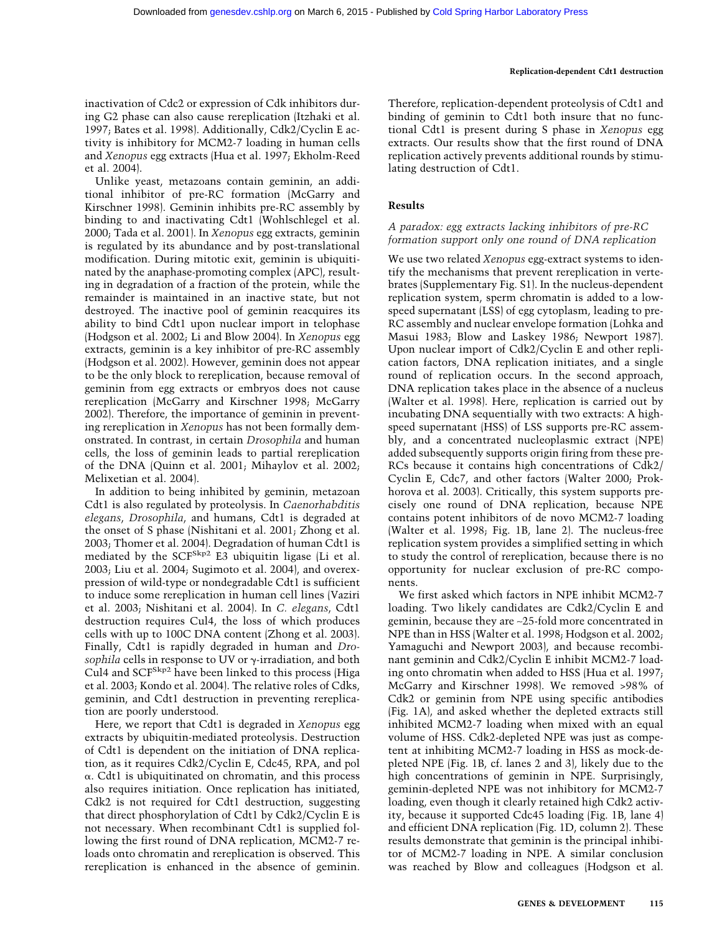inactivation of Cdc2 or expression of Cdk inhibitors during G2 phase can also cause rereplication (Itzhaki et al. 1997; Bates et al. 1998). Additionally, Cdk2/Cyclin E activity is inhibitory for MCM2-7 loading in human cells and *Xenopus* egg extracts (Hua et al. 1997; Ekholm-Reed et al. 2004).

Unlike yeast, metazoans contain geminin, an additional inhibitor of pre-RC formation (McGarry and Kirschner 1998). Geminin inhibits pre-RC assembly by binding to and inactivating Cdt1 (Wohlschlegel et al. 2000; Tada et al. 2001). In *Xenopus* egg extracts, geminin is regulated by its abundance and by post-translational modification. During mitotic exit, geminin is ubiquitinated by the anaphase-promoting complex (APC), resulting in degradation of a fraction of the protein, while the remainder is maintained in an inactive state, but not destroyed. The inactive pool of geminin reacquires its ability to bind Cdt1 upon nuclear import in telophase (Hodgson et al. 2002; Li and Blow 2004). In *Xenopus* egg extracts, geminin is a key inhibitor of pre-RC assembly (Hodgson et al. 2002). However, geminin does not appear to be the only block to rereplication, because removal of geminin from egg extracts or embryos does not cause rereplication (McGarry and Kirschner 1998; McGarry 2002). Therefore, the importance of geminin in preventing rereplication in *Xenopus* has not been formally demonstrated. In contrast, in certain *Drosophila* and human cells, the loss of geminin leads to partial rereplication of the DNA (Quinn et al. 2001; Mihaylov et al. 2002; Melixetian et al. 2004).

In addition to being inhibited by geminin, metazoan Cdt1 is also regulated by proteolysis. In *Caenorhabditis elegans*, *Drosophila*, and humans, Cdt1 is degraded at the onset of S phase (Nishitani et al. 2001; Zhong et al. 2003; Thomer et al. 2004). Degradation of human Cdt1 is mediated by the SCF<sup>Skp2</sup> E3 ubiquitin ligase (Li et al. 2003; Liu et al. 2004; Sugimoto et al. 2004), and overexpression of wild-type or nondegradable Cdt1 is sufficient to induce some rereplication in human cell lines (Vaziri et al. 2003; Nishitani et al. 2004). In *C. elegans*, Cdt1 destruction requires Cul4, the loss of which produces cells with up to 100C DNA content (Zhong et al. 2003). Finally, Cdt1 is rapidly degraded in human and *Drosophila* cells in response to UV or  $\gamma$ -irradiation, and both Cul4 and SCF<sup>Skp2</sup> have been linked to this process (Higa et al. 2003; Kondo et al. 2004). The relative roles of Cdks, geminin, and Cdt1 destruction in preventing rereplication are poorly understood.

Here, we report that Cdt1 is degraded in *Xenopus* egg extracts by ubiquitin-mediated proteolysis. Destruction of Cdt1 is dependent on the initiation of DNA replication, as it requires Cdk2/Cyclin E, Cdc45, RPA, and pol  $\alpha$ . Cdt1 is ubiquitinated on chromatin, and this process also requires initiation. Once replication has initiated, Cdk2 is not required for Cdt1 destruction, suggesting that direct phosphorylation of Cdt1 by Cdk2/Cyclin E is not necessary. When recombinant Cdt1 is supplied following the first round of DNA replication, MCM2-7 reloads onto chromatin and rereplication is observed. This rereplication is enhanced in the absence of geminin. Therefore, replication-dependent proteolysis of Cdt1 and binding of geminin to Cdt1 both insure that no functional Cdt1 is present during S phase in *Xenopus* egg extracts. Our results show that the first round of DNA replication actively prevents additional rounds by stimulating destruction of Cdt1.

# **Results**

# *A paradox: egg extracts lacking inhibitors of pre-RC formation support only one round of DNA replication*

We use two related *Xenopus* egg-extract systems to identify the mechanisms that prevent rereplication in vertebrates (Supplementary Fig. S1). In the nucleus-dependent replication system, sperm chromatin is added to a lowspeed supernatant (LSS) of egg cytoplasm, leading to pre-RC assembly and nuclear envelope formation (Lohka and Masui 1983; Blow and Laskey 1986; Newport 1987). Upon nuclear import of Cdk2/Cyclin E and other replication factors, DNA replication initiates, and a single round of replication occurs. In the second approach, DNA replication takes place in the absence of a nucleus (Walter et al. 1998). Here, replication is carried out by incubating DNA sequentially with two extracts: A highspeed supernatant (HSS) of LSS supports pre-RC assembly, and a concentrated nucleoplasmic extract (NPE) added subsequently supports origin firing from these pre-RCs because it contains high concentrations of Cdk2/ Cyclin E, Cdc7, and other factors (Walter 2000; Prokhorova et al. 2003). Critically, this system supports precisely one round of DNA replication, because NPE contains potent inhibitors of de novo MCM2-7 loading (Walter et al. 1998; Fig. 1B, lane 2). The nucleus-free replication system provides a simplified setting in which to study the control of rereplication, because there is no opportunity for nuclear exclusion of pre-RC components.

We first asked which factors in NPE inhibit MCM2-7 loading. Two likely candidates are Cdk2/Cyclin E and geminin, because they are ∼25-fold more concentrated in NPE than in HSS (Walter et al. 1998; Hodgson et al. 2002; Yamaguchi and Newport 2003), and because recombinant geminin and Cdk2/Cyclin E inhibit MCM2-7 loading onto chromatin when added to HSS (Hua et al. 1997; McGarry and Kirschner 1998). We removed >98% of Cdk2 or geminin from NPE using specific antibodies (Fig. 1A), and asked whether the depleted extracts still inhibited MCM2-7 loading when mixed with an equal volume of HSS. Cdk2-depleted NPE was just as competent at inhibiting MCM2-7 loading in HSS as mock-depleted NPE (Fig. 1B, cf. lanes 2 and 3), likely due to the high concentrations of geminin in NPE. Surprisingly, geminin-depleted NPE was not inhibitory for MCM2-7 loading, even though it clearly retained high Cdk2 activity, because it supported Cdc45 loading (Fig. 1B, lane 4) and efficient DNA replication (Fig. 1D, column 2). These results demonstrate that geminin is the principal inhibitor of MCM2-7 loading in NPE. A similar conclusion was reached by Blow and colleagues (Hodgson et al.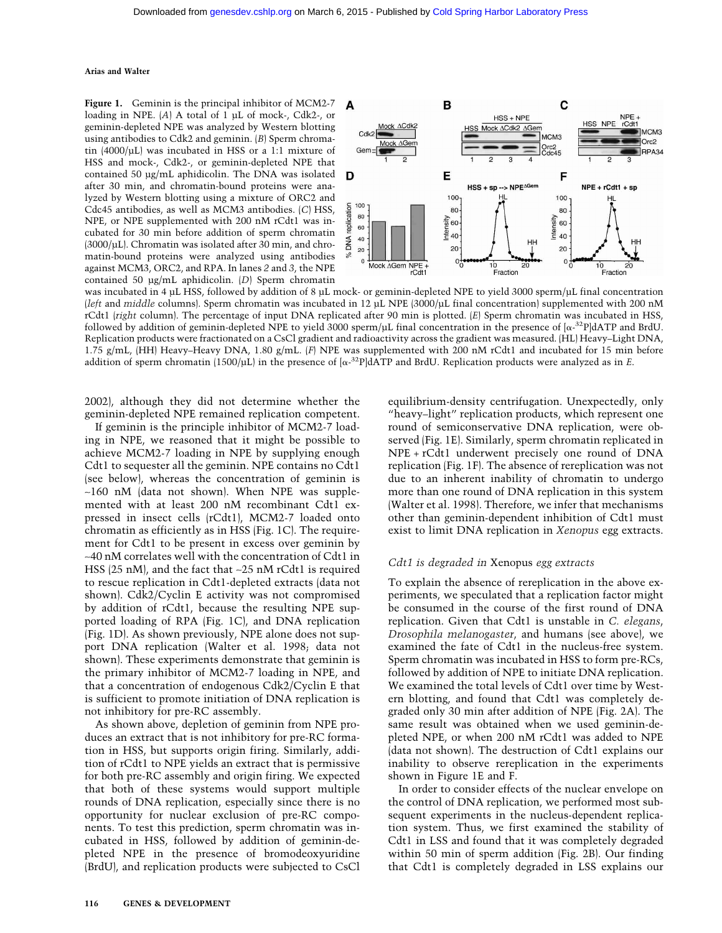Figure 1. Geminin is the principal inhibitor of MCM2-7 loading in NPE. (*A*) A total of 1 µL of mock-, Cdk2-, or geminin-depleted NPE was analyzed by Western blotting using antibodies to Cdk2 and geminin. (*B*) Sperm chromatin  $(4000/\mu L)$  was incubated in HSS or a 1:1 mixture of HSS and mock-, Cdk2-, or geminin-depleted NPE that contained 50 µg/mL aphidicolin. The DNA was isolated after 30 min, and chromatin-bound proteins were analyzed by Western blotting using a mixture of ORC2 and Cdc45 antibodies, as well as MCM3 antibodies. (*C*) HSS, NPE, or NPE supplemented with 200 nM rCdt1 was incubated for 30 min before addition of sperm chromatin (3000/µL). Chromatin was isolated after 30 min, and chromatin-bound proteins were analyzed using antibodies against MCM3, ORC2, and RPA. In lanes *2* and *3*, the NPE contained 50 µg/mL aphidicolin. (*D*) Sperm chromatin



was incubated in 4 µL HSS, followed by addition of 8 µL mock- or geminin-depleted NPE to yield 3000 sperm/µL final concentration (*left* and *middle* columns). Sperm chromatin was incubated in 12 µL NPE (3000/µL final concentration) supplemented with 200 nM rCdt1 (*right* column). The percentage of input DNA replicated after 90 min is plotted. (*E*) Sperm chromatin was incubated in HSS, followed by addition of geminin-depleted NPE to yield 3000 sperm/ $\mu$ L final concentration in the presence of  $\alpha^{.32}P$  and BrdU. Replication products were fractionated on a CsCl gradient and radioactivity across the gradient was measured. (HL) Heavy–Light DNA, 1.75 g/mL, (HH) Heavy–Heavy DNA, 1.80 g/mL. (*F*) NPE was supplemented with 200 nM rCdt1 and incubated for 15 min before addition of sperm chromatin (1500/µL) in the presence of  $\alpha^{-32}P$  dATP and BrdU. Replication products were analyzed as in *E*.

2002), although they did not determine whether the geminin-depleted NPE remained replication competent.

If geminin is the principle inhibitor of MCM2-7 loading in NPE, we reasoned that it might be possible to achieve MCM2-7 loading in NPE by supplying enough Cdt1 to sequester all the geminin. NPE contains no Cdt1 (see below), whereas the concentration of geminin is ∼160 nM (data not shown). When NPE was supplemented with at least 200 nM recombinant Cdt1 expressed in insect cells (rCdt1), MCM2-7 loaded onto chromatin as efficiently as in HSS (Fig. 1C). The requirement for Cdt1 to be present in excess over geminin by ∼40 nM correlates well with the concentration of Cdt1 in HSS (25 nM), and the fact that ∼25 nM rCdt1 is required to rescue replication in Cdt1-depleted extracts (data not shown). Cdk2/Cyclin E activity was not compromised by addition of rCdt1, because the resulting NPE supported loading of RPA (Fig. 1C), and DNA replication (Fig. 1D). As shown previously, NPE alone does not support DNA replication (Walter et al. 1998; data not shown). These experiments demonstrate that geminin is the primary inhibitor of MCM2-7 loading in NPE, and that a concentration of endogenous Cdk2/Cyclin E that is sufficient to promote initiation of DNA replication is not inhibitory for pre-RC assembly.

As shown above, depletion of geminin from NPE produces an extract that is not inhibitory for pre-RC formation in HSS, but supports origin firing. Similarly, addition of rCdt1 to NPE yields an extract that is permissive for both pre-RC assembly and origin firing. We expected that both of these systems would support multiple rounds of DNA replication, especially since there is no opportunity for nuclear exclusion of pre-RC components. To test this prediction, sperm chromatin was incubated in HSS, followed by addition of geminin-depleted NPE in the presence of bromodeoxyuridine (BrdU), and replication products were subjected to CsCl equilibrium-density centrifugation. Unexpectedly, only "heavy–light" replication products, which represent one round of semiconservative DNA replication, were observed (Fig. 1E). Similarly, sperm chromatin replicated in NPE + rCdt1 underwent precisely one round of DNA replication (Fig. 1F). The absence of rereplication was not due to an inherent inability of chromatin to undergo more than one round of DNA replication in this system (Walter et al. 1998). Therefore, we infer that mechanisms other than geminin-dependent inhibition of Cdt1 must exist to limit DNA replication in *Xenopus* egg extracts.

#### *Cdt1 is degraded in* Xenopus *egg extracts*

To explain the absence of rereplication in the above experiments, we speculated that a replication factor might be consumed in the course of the first round of DNA replication. Given that Cdt1 is unstable in *C. elegans*, *Drosophila melanogaster*, and humans (see above), we examined the fate of Cdt1 in the nucleus-free system. Sperm chromatin was incubated in HSS to form pre-RCs, followed by addition of NPE to initiate DNA replication. We examined the total levels of Cdt1 over time by Western blotting, and found that Cdt1 was completely degraded only 30 min after addition of NPE (Fig. 2A). The same result was obtained when we used geminin-depleted NPE, or when 200 nM rCdt1 was added to NPE (data not shown). The destruction of Cdt1 explains our inability to observe rereplication in the experiments shown in Figure 1E and F.

In order to consider effects of the nuclear envelope on the control of DNA replication, we performed most subsequent experiments in the nucleus-dependent replication system. Thus, we first examined the stability of Cdt1 in LSS and found that it was completely degraded within 50 min of sperm addition (Fig. 2B). Our finding that Cdt1 is completely degraded in LSS explains our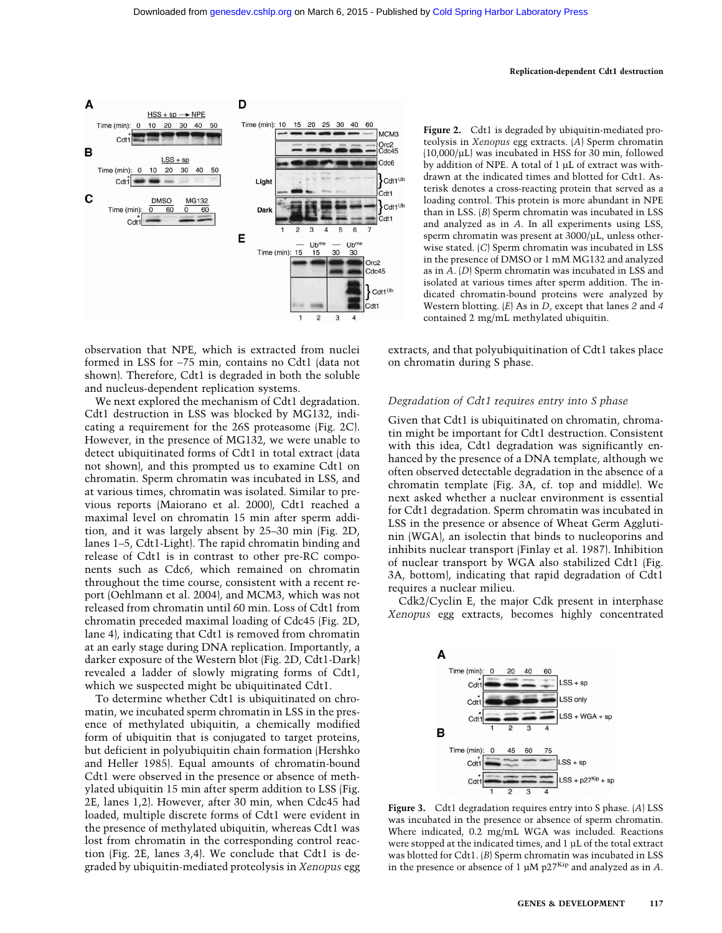

observation that NPE, which is extracted from nuclei formed in LSS for ∼75 min, contains no Cdt1 (data not shown). Therefore, Cdt1 is degraded in both the soluble and nucleus-dependent replication systems.

We next explored the mechanism of Cdt1 degradation. Cdt1 destruction in LSS was blocked by MG132, indicating a requirement for the 26S proteasome (Fig. 2C). However, in the presence of MG132, we were unable to detect ubiquitinated forms of Cdt1 in total extract (data not shown), and this prompted us to examine Cdt1 on chromatin. Sperm chromatin was incubated in LSS, and at various times, chromatin was isolated. Similar to previous reports (Maiorano et al. 2000), Cdt1 reached a maximal level on chromatin 15 min after sperm addition, and it was largely absent by 25–30 min (Fig. 2D, lanes 1–5, Cdt1-Light). The rapid chromatin binding and release of Cdt1 is in contrast to other pre-RC components such as Cdc6, which remained on chromatin throughout the time course, consistent with a recent report (Oehlmann et al. 2004), and MCM3, which was not released from chromatin until 60 min. Loss of Cdt1 from chromatin preceded maximal loading of Cdc45 (Fig. 2D, lane 4), indicating that Cdt1 is removed from chromatin at an early stage during DNA replication. Importantly, a darker exposure of the Western blot (Fig. 2D, Cdt1-Dark) revealed a ladder of slowly migrating forms of Cdt1, which we suspected might be ubiquitinated Cdt1.

To determine whether Cdt1 is ubiquitinated on chromatin, we incubated sperm chromatin in LSS in the presence of methylated ubiquitin, a chemically modified form of ubiquitin that is conjugated to target proteins, but deficient in polyubiquitin chain formation (Hershko and Heller 1985). Equal amounts of chromatin-bound Cdt1 were observed in the presence or absence of methylated ubiquitin 15 min after sperm addition to LSS (Fig. 2E, lanes 1,2). However, after 30 min, when Cdc45 had loaded, multiple discrete forms of Cdt1 were evident in the presence of methylated ubiquitin, whereas Cdt1 was lost from chromatin in the corresponding control reaction (Fig. 2E, lanes 3,4). We conclude that Cdt1 is degraded by ubiquitin-mediated proteolysis in *Xenopus* egg **Figure 2.** Cdt1 is degraded by ubiquitin-mediated proteolysis in *Xenopus* egg extracts. (*A*) Sperm chromatin (10,000/µL) was incubated in HSS for 30 min, followed by addition of NPE. A total of 1 µL of extract was withdrawn at the indicated times and blotted for Cdt1. Asterisk denotes a cross-reacting protein that served as a loading control. This protein is more abundant in NPE than in LSS. (*B*) Sperm chromatin was incubated in LSS and analyzed as in *A*. In all experiments using LSS, sperm chromatin was present at 3000/µL, unless otherwise stated. (*C*) Sperm chromatin was incubated in LSS in the presence of DMSO or 1 mM MG132 and analyzed as in *A*. (*D*) Sperm chromatin was incubated in LSS and isolated at various times after sperm addition. The indicated chromatin-bound proteins were analyzed by Western blotting. (*E*) As in *D*, except that lanes *2* and *4* contained 2 mg/mL methylated ubiquitin.

extracts, and that polyubiquitination of Cdt1 takes place on chromatin during S phase.

#### *Degradation of Cdt1 requires entry into S phase*

Given that Cdt1 is ubiquitinated on chromatin, chromatin might be important for Cdt1 destruction. Consistent with this idea, Cdt1 degradation was significantly enhanced by the presence of a DNA template, although we often observed detectable degradation in the absence of a chromatin template (Fig. 3A, cf. top and middle). We next asked whether a nuclear environment is essential for Cdt1 degradation. Sperm chromatin was incubated in LSS in the presence or absence of Wheat Germ Agglutinin (WGA), an isolectin that binds to nucleoporins and inhibits nuclear transport (Finlay et al. 1987). Inhibition of nuclear transport by WGA also stabilized Cdt1 (Fig. 3A, bottom), indicating that rapid degradation of Cdt1 requires a nuclear milieu.

Cdk2/Cyclin E, the major Cdk present in interphase *Xenopus* egg extracts, becomes highly concentrated



**Figure 3.** Cdt1 degradation requires entry into S phase. (*A*) LSS was incubated in the presence or absence of sperm chromatin. Where indicated, 0.2 mg/mL WGA was included. Reactions were stopped at the indicated times, and 1 µL of the total extract was blotted for Cdt1. (*B*) Sperm chromatin was incubated in LSS in the presence or absence of 1 µM p27Kip and analyzed as in *A*.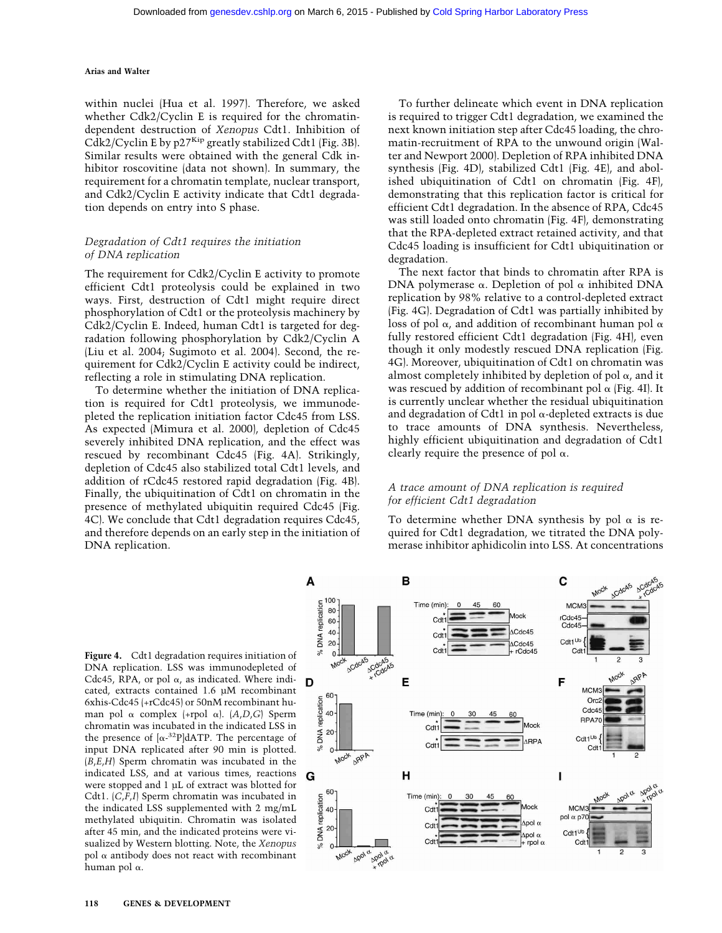within nuclei (Hua et al. 1997). Therefore, we asked whether Cdk2/Cyclin E is required for the chromatindependent destruction of *Xenopus* Cdt1. Inhibition of Cdk2/Cyclin E by p27<sup>Kip</sup> greatly stabilized Cdt1 (Fig. 3B). Similar results were obtained with the general Cdk inhibitor roscovitine (data not shown). In summary, the requirement for a chromatin template, nuclear transport, and Cdk2/Cyclin E activity indicate that Cdt1 degradation depends on entry into S phase.

# *Degradation of Cdt1 requires the initiation of DNA replication*

The requirement for Cdk2/Cyclin E activity to promote efficient Cdt1 proteolysis could be explained in two ways. First, destruction of Cdt1 might require direct phosphorylation of Cdt1 or the proteolysis machinery by Cdk2/Cyclin E. Indeed, human Cdt1 is targeted for degradation following phosphorylation by Cdk2/Cyclin A (Liu et al. 2004; Sugimoto et al. 2004). Second, the requirement for Cdk2/Cyclin E activity could be indirect, reflecting a role in stimulating DNA replication.

To determine whether the initiation of DNA replication is required for Cdt1 proteolysis, we immunodepleted the replication initiation factor Cdc45 from LSS. As expected (Mimura et al. 2000), depletion of Cdc45 severely inhibited DNA replication, and the effect was rescued by recombinant Cdc45 (Fig. 4A). Strikingly, depletion of Cdc45 also stabilized total Cdt1 levels, and addition of rCdc45 restored rapid degradation (Fig. 4B). Finally, the ubiquitination of Cdt1 on chromatin in the presence of methylated ubiquitin required Cdc45 (Fig. 4C). We conclude that Cdt1 degradation requires Cdc45, and therefore depends on an early step in the initiation of DNA replication.

To further delineate which event in DNA replication is required to trigger Cdt1 degradation, we examined the next known initiation step after Cdc45 loading, the chromatin-recruitment of RPA to the unwound origin (Walter and Newport 2000). Depletion of RPA inhibited DNA synthesis (Fig. 4D), stabilized Cdt1 (Fig. 4E), and abolished ubiquitination of Cdt1 on chromatin (Fig. 4F), demonstrating that this replication factor is critical for efficient Cdt1 degradation. In the absence of RPA, Cdc45 was still loaded onto chromatin (Fig. 4F), demonstrating that the RPA-depleted extract retained activity, and that Cdc45 loading is insufficient for Cdt1 ubiquitination or degradation.

The next factor that binds to chromatin after RPA is DNA polymerase  $\alpha$ . Depletion of pol  $\alpha$  inhibited DNA replication by 98% relative to a control-depleted extract (Fig. 4G). Degradation of Cdt1 was partially inhibited by loss of pol  $\alpha$ , and addition of recombinant human pol  $\alpha$ fully restored efficient Cdt1 degradation (Fig. 4H), even though it only modestly rescued DNA replication (Fig. 4G). Moreover, ubiquitination of Cdt1 on chromatin was almost completely inhibited by depletion of pol  $\alpha$ , and it was rescued by addition of recombinant pol  $\alpha$  (Fig. 4I). It is currently unclear whether the residual ubiquitination and degradation of Cdt1 in pol  $\alpha$ -depleted extracts is due to trace amounts of DNA synthesis. Nevertheless, highly efficient ubiquitination and degradation of Cdt1 clearly require the presence of pol  $\alpha$ .

#### *A trace amount of DNA replication is required for efficient Cdt1 degradation*

To determine whether DNA synthesis by pol  $\alpha$  is required for Cdt1 degradation, we titrated the DNA polymerase inhibitor aphidicolin into LSS. At concentrations

**Figure 4.** Cdt1 degradation requires initiation of DNA replication. LSS was immunodepleted of Cdc45, RPA, or pol  $\alpha$ , as indicated. Where indicated, extracts contained 1.6 µM recombinant 6xhis-Cdc45 (+rCdc45) or 50nM recombinant human pol  $\alpha$  complex (+rpol  $\alpha$ ). (*A*,*D*,*G*) Sperm chromatin was incubated in the indicated LSS in the presence of  $[\alpha^{-32}P]dATP$ . The percentage of input DNA replicated after 90 min is plotted. (*B*,*E*,*H*) Sperm chromatin was incubated in the indicated LSS, and at various times, reactions were stopped and 1 µL of extract was blotted for Cdt1. (*C*,*F*,*I*) Sperm chromatin was incubated in the indicated LSS supplemented with 2 mg/mL methylated ubiquitin. Chromatin was isolated after 45 min, and the indicated proteins were visualized by Western blotting. Note, the *Xenopus* pol  $\alpha$  antibody does not react with recombinant human pol  $\alpha$ .

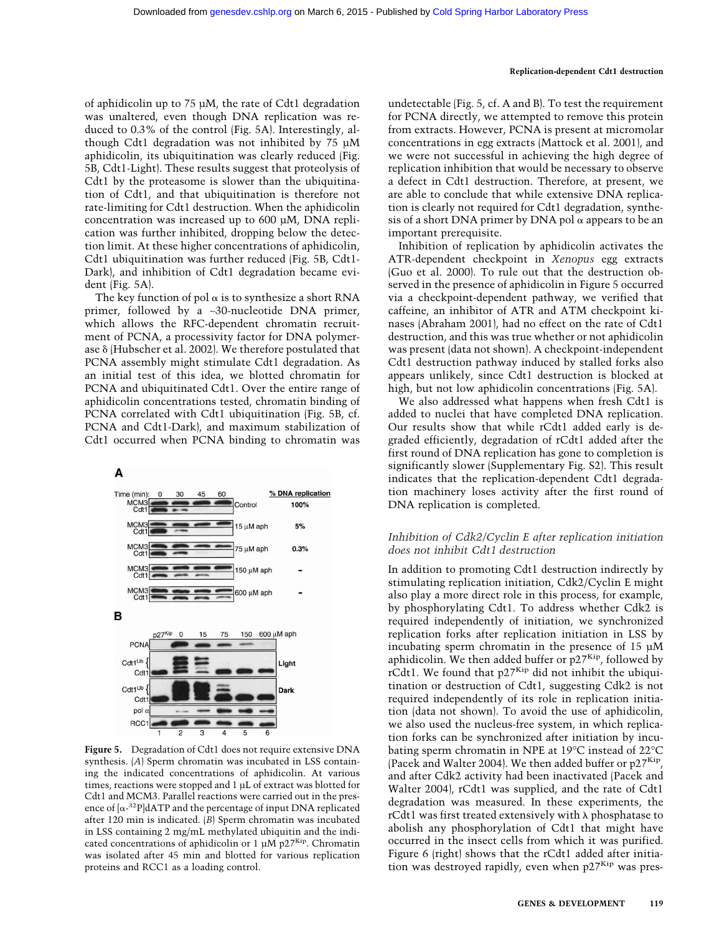of aphidicolin up to 75 µM, the rate of Cdt1 degradation was unaltered, even though DNA replication was reduced to 0.3% of the control (Fig. 5A). Interestingly, although Cdt1 degradation was not inhibited by 75 µM aphidicolin, its ubiquitination was clearly reduced (Fig. 5B, Cdt1-Light). These results suggest that proteolysis of Cdt1 by the proteasome is slower than the ubiquitination of Cdt1, and that ubiquitination is therefore not rate-limiting for Cdt1 destruction. When the aphidicolin concentration was increased up to 600 µM, DNA replication was further inhibited, dropping below the detection limit. At these higher concentrations of aphidicolin, Cdt1 ubiquitination was further reduced (Fig. 5B, Cdt1- Dark), and inhibition of Cdt1 degradation became evident (Fig. 5A).

The key function of pol  $\alpha$  is to synthesize a short RNA primer, followed by a ∼30-nucleotide DNA primer, which allows the RFC-dependent chromatin recruitment of PCNA, a processivity factor for DNA polymerase  $\delta$  (Hubscher et al. 2002). We therefore postulated that PCNA assembly might stimulate Cdt1 degradation. As an initial test of this idea, we blotted chromatin for PCNA and ubiquitinated Cdt1. Over the entire range of aphidicolin concentrations tested, chromatin binding of PCNA correlated with Cdt1 ubiquitination (Fig. 5B, cf. PCNA and Cdt1-Dark), and maximum stabilization of Cdt1 occurred when PCNA binding to chromatin was



**Figure 5.** Degradation of Cdt1 does not require extensive DNA synthesis. (*A*) Sperm chromatin was incubated in LSS containing the indicated concentrations of aphidicolin. At various times, reactions were stopped and 1 µL of extract was blotted for Cdt1 and MCM3. Parallel reactions were carried out in the presence of  $[\alpha^{-32}P]dATP$  and the percentage of input DNA replicated after 120 min is indicated. (*B*) Sperm chromatin was incubated in LSS containing 2 mg/mL methylated ubiquitin and the indicated concentrations of aphidicolin or 1  $\mu$ M p27<sup>Kip</sup>. Chromatin was isolated after 45 min and blotted for various replication proteins and RCC1 as a loading control.

undetectable (Fig. 5, cf. A and B). To test the requirement for PCNA directly, we attempted to remove this protein from extracts. However, PCNA is present at micromolar concentrations in egg extracts (Mattock et al. 2001), and we were not successful in achieving the high degree of replication inhibition that would be necessary to observe a defect in Cdt1 destruction. Therefore, at present, we are able to conclude that while extensive DNA replication is clearly not required for Cdt1 degradation, synthesis of a short DNA primer by DNA pol  $\alpha$  appears to be an important prerequisite.

Inhibition of replication by aphidicolin activates the ATR-dependent checkpoint in *Xenopus* egg extracts (Guo et al. 2000). To rule out that the destruction observed in the presence of aphidicolin in Figure 5 occurred via a checkpoint-dependent pathway, we verified that caffeine, an inhibitor of ATR and ATM checkpoint kinases (Abraham 2001), had no effect on the rate of Cdt1 destruction, and this was true whether or not aphidicolin was present (data not shown). A checkpoint-independent Cdt1 destruction pathway induced by stalled forks also appears unlikely, since Cdt1 destruction is blocked at high, but not low aphidicolin concentrations (Fig. 5A).

We also addressed what happens when fresh Cdt1 is added to nuclei that have completed DNA replication. Our results show that while rCdt1 added early is degraded efficiently, degradation of rCdt1 added after the first round of DNA replication has gone to completion is significantly slower (Supplementary Fig. S2). This result indicates that the replication-dependent Cdt1 degradation machinery loses activity after the first round of DNA replication is completed.

# *Inhibition of Cdk2/Cyclin E after replication initiation does not inhibit Cdt1 destruction*

In addition to promoting Cdt1 destruction indirectly by stimulating replication initiation, Cdk2/Cyclin E might also play a more direct role in this process, for example, by phosphorylating Cdt1. To address whether Cdk2 is required independently of initiation, we synchronized replication forks after replication initiation in LSS by incubating sperm chromatin in the presence of 15 µM aphidicolin. We then added buffer or  $p27<sup>Kip</sup>$ , followed by rCdt1. We found that  $p27^{Kip}$  did not inhibit the ubiquitination or destruction of Cdt1, suggesting Cdk2 is not required independently of its role in replication initiation (data not shown). To avoid the use of aphidicolin, we also used the nucleus-free system, in which replication forks can be synchronized after initiation by incubating sperm chromatin in NPE at 19°C instead of 22°C (Pacek and Walter 2004). We then added buffer or p27Kip, and after Cdk2 activity had been inactivated (Pacek and Walter 2004), rCdt1 was supplied, and the rate of Cdt1 degradation was measured. In these experiments, the rCdt1 was first treated extensively with  $\lambda$  phosphatase to abolish any phosphorylation of Cdt1 that might have occurred in the insect cells from which it was purified. Figure 6 (right) shows that the rCdt1 added after initiation was destroyed rapidly, even when  $p27<sup>Kip</sup>$  was pres-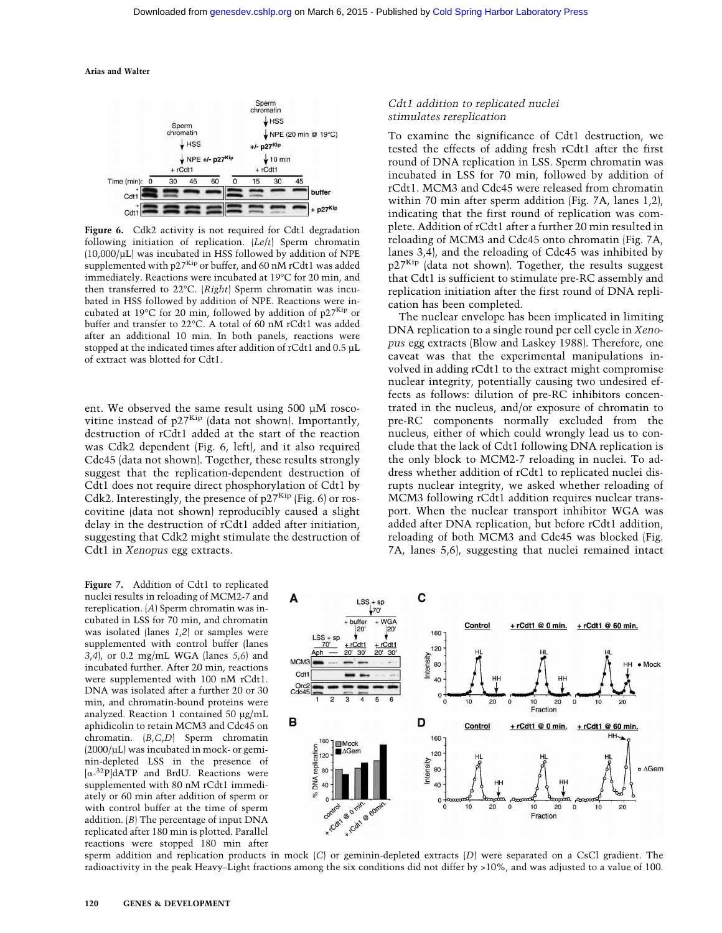

Figure 6. Cdk2 activity is not required for Cdt1 degradation following initiation of replication. (*Left*) Sperm chromatin (10,000/µL) was incubated in HSS followed by addition of NPE supplemented with p27<sup>Kip</sup> or buffer, and 60 nM rCdt1 was added immediately. Reactions were incubated at 19°C for 20 min, and then transferred to 22°C. (*Right*) Sperm chromatin was incubated in HSS followed by addition of NPE. Reactions were incubated at 19 $\degree$ C for 20 min, followed by addition of p27<sup>Kip</sup> or buffer and transfer to 22°C. A total of 60 nM rCdt1 was added after an additional 10 min. In both panels, reactions were stopped at the indicated times after addition of rCdt1 and 0.5 µL of extract was blotted for Cdt1.

ent. We observed the same result using 500 µM roscovitine instead of  $p27^{Kip}$  (data not shown). Importantly, destruction of rCdt1 added at the start of the reaction was Cdk2 dependent (Fig. 6, left), and it also required Cdc45 (data not shown). Together, these results strongly suggest that the replication-dependent destruction of Cdt1 does not require direct phosphorylation of Cdt1 by Cdk2. Interestingly, the presence of  $p27<sup>Kip</sup>$  (Fig. 6) or roscovitine (data not shown) reproducibly caused a slight delay in the destruction of rCdt1 added after initiation, suggesting that Cdk2 might stimulate the destruction of Cdt1 in *Xenopus* egg extracts.

**Figure 7.** Addition of Cdt1 to replicated nuclei results in reloading of MCM2-7 and rereplication. (*A*) Sperm chromatin was incubated in LSS for 70 min, and chromatin was isolated (lanes *1*,*2*) or samples were supplemented with control buffer (lanes *3*,*4*), or 0.2 mg/mL WGA (lanes *5*,*6*) and incubated further. After 20 min, reactions were supplemented with 100 nM rCdt1. DNA was isolated after a further 20 or 30 min, and chromatin-bound proteins were analyzed. Reaction 1 contained 50 µg/mL aphidicolin to retain MCM3 and Cdc45 on chromatin. (*B*,*C*,*D*) Sperm chromatin (2000/µL) was incubated in mock- or geminin-depleted LSS in the presence of  $[\alpha^{-32}P]$ dATP and BrdU. Reactions were supplemented with 80 nM rCdt1 immediately or 60 min after addition of sperm or with control buffer at the time of sperm addition. (*B*) The percentage of input DNA replicated after 180 min is plotted. Parallel reactions were stopped 180 min after

#### *Cdt1 addition to replicated nuclei stimulates rereplication*

To examine the significance of Cdt1 destruction, we tested the effects of adding fresh rCdt1 after the first round of DNA replication in LSS. Sperm chromatin was incubated in LSS for 70 min, followed by addition of rCdt1. MCM3 and Cdc45 were released from chromatin within 70 min after sperm addition (Fig. 7A, lanes 1,2), indicating that the first round of replication was complete. Addition of rCdt1 after a further 20 min resulted in reloading of MCM3 and Cdc45 onto chromatin (Fig. 7A, lanes 3,4), and the reloading of Cdc45 was inhibited by p27Kip (data not shown). Together, the results suggest that Cdt1 is sufficient to stimulate pre-RC assembly and replication initiation after the first round of DNA replication has been completed.

The nuclear envelope has been implicated in limiting DNA replication to a single round per cell cycle in *Xenopus* egg extracts (Blow and Laskey 1988). Therefore, one caveat was that the experimental manipulations involved in adding rCdt1 to the extract might compromise nuclear integrity, potentially causing two undesired effects as follows: dilution of pre-RC inhibitors concentrated in the nucleus, and/or exposure of chromatin to pre-RC components normally excluded from the nucleus, either of which could wrongly lead us to conclude that the lack of Cdt1 following DNA replication is the only block to MCM2-7 reloading in nuclei. To address whether addition of rCdt1 to replicated nuclei disrupts nuclear integrity, we asked whether reloading of MCM3 following rCdt1 addition requires nuclear transport. When the nuclear transport inhibitor WGA was added after DNA replication, but before rCdt1 addition, reloading of both MCM3 and Cdc45 was blocked (Fig. 7A, lanes 5,6), suggesting that nuclei remained intact



sperm addition and replication products in mock (*C*) or geminin-depleted extracts (*D*) were separated on a CsCl gradient. The radioactivity in the peak Heavy–Light fractions among the six conditions did not differ by >10%, and was adjusted to a value of 100.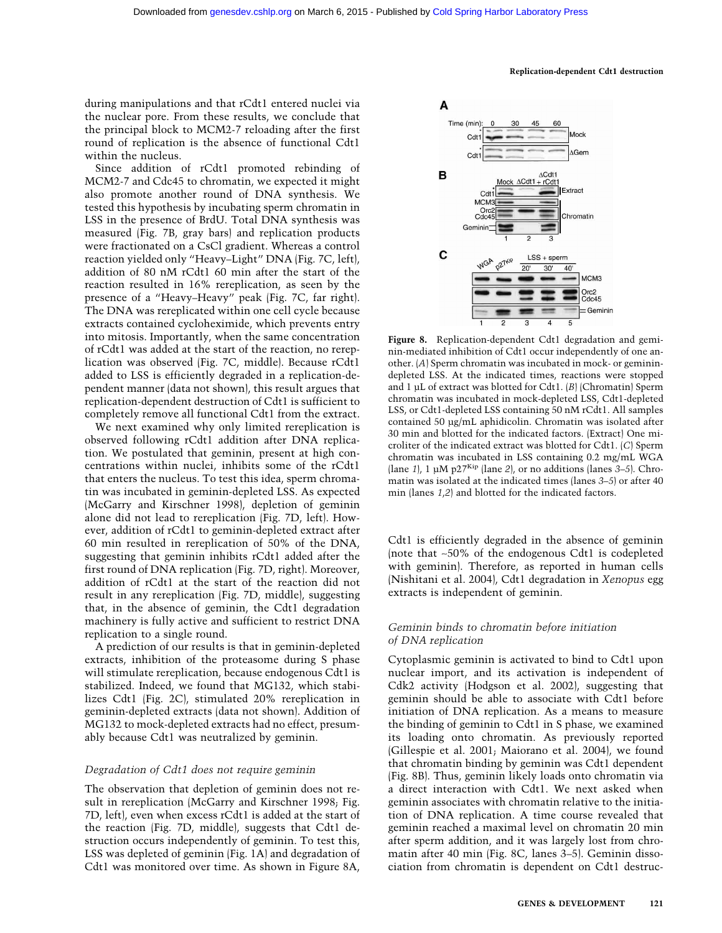during manipulations and that rCdt1 entered nuclei via the nuclear pore. From these results, we conclude that the principal block to MCM2-7 reloading after the first round of replication is the absence of functional Cdt1 within the nucleus.

Since addition of rCdt1 promoted rebinding of MCM2-7 and Cdc45 to chromatin, we expected it might also promote another round of DNA synthesis. We tested this hypothesis by incubating sperm chromatin in LSS in the presence of BrdU. Total DNA synthesis was measured (Fig. 7B, gray bars) and replication products were fractionated on a CsCl gradient. Whereas a control reaction yielded only "Heavy–Light" DNA (Fig. 7C, left), addition of 80 nM rCdt1 60 min after the start of the reaction resulted in 16% rereplication, as seen by the presence of a "Heavy–Heavy" peak (Fig. 7C, far right). The DNA was rereplicated within one cell cycle because extracts contained cycloheximide, which prevents entry into mitosis. Importantly, when the same concentration of rCdt1 was added at the start of the reaction, no rereplication was observed (Fig. 7C, middle). Because rCdt1 added to LSS is efficiently degraded in a replication-dependent manner (data not shown), this result argues that replication-dependent destruction of Cdt1 is sufficient to completely remove all functional Cdt1 from the extract.

We next examined why only limited rereplication is observed following rCdt1 addition after DNA replication. We postulated that geminin, present at high concentrations within nuclei, inhibits some of the rCdt1 that enters the nucleus. To test this idea, sperm chromatin was incubated in geminin-depleted LSS. As expected (McGarry and Kirschner 1998), depletion of geminin alone did not lead to rereplication (Fig. 7D, left). However, addition of rCdt1 to geminin-depleted extract after 60 min resulted in rereplication of 50% of the DNA, suggesting that geminin inhibits rCdt1 added after the first round of DNA replication (Fig. 7D, right). Moreover, addition of rCdt1 at the start of the reaction did not result in any rereplication (Fig. 7D, middle), suggesting that, in the absence of geminin, the Cdt1 degradation machinery is fully active and sufficient to restrict DNA replication to a single round.

A prediction of our results is that in geminin-depleted extracts, inhibition of the proteasome during S phase will stimulate rereplication, because endogenous Cdt1 is stabilized. Indeed, we found that MG132, which stabilizes Cdt1 (Fig. 2C), stimulated 20% rereplication in geminin-depleted extracts (data not shown). Addition of MG132 to mock-depleted extracts had no effect, presumably because Cdt1 was neutralized by geminin.

#### *Degradation of Cdt1 does not require geminin*

The observation that depletion of geminin does not result in rereplication (McGarry and Kirschner 1998; Fig. 7D, left), even when excess rCdt1 is added at the start of the reaction (Fig. 7D, middle), suggests that Cdt1 destruction occurs independently of geminin. To test this, LSS was depleted of geminin (Fig. 1A) and degradation of Cdt1 was monitored over time. As shown in Figure 8A,



**Figure 8.** Replication-dependent Cdt1 degradation and geminin-mediated inhibition of Cdt1 occur independently of one another. (*A*) Sperm chromatin was incubated in mock- or geminindepleted LSS. At the indicated times, reactions were stopped and 1 µL of extract was blotted for Cdt1. (*B*) (Chromatin) Sperm chromatin was incubated in mock-depleted LSS, Cdt1-depleted LSS, or Cdt1-depleted LSS containing 50 nM rCdt1. All samples contained 50 µg/mL aphidicolin. Chromatin was isolated after 30 min and blotted for the indicated factors. (Extract) One microliter of the indicated extract was blotted for Cdt1. (*C*) Sperm chromatin was incubated in LSS containing 0.2 mg/mL WGA (lane *1*), 1 µM p27Kip (lane *2*), or no additions (lanes *3–5*). Chromatin was isolated at the indicated times (lanes *3–5*) or after 40 min (lanes *1*,*2*) and blotted for the indicated factors.

Cdt1 is efficiently degraded in the absence of geminin (note that ∼50% of the endogenous Cdt1 is codepleted with geminin). Therefore, as reported in human cells (Nishitani et al. 2004), Cdt1 degradation in *Xenopus* egg extracts is independent of geminin.

# *Geminin binds to chromatin before initiation of DNA replication*

Cytoplasmic geminin is activated to bind to Cdt1 upon nuclear import, and its activation is independent of Cdk2 activity (Hodgson et al. 2002), suggesting that geminin should be able to associate with Cdt1 before initiation of DNA replication. As a means to measure the binding of geminin to Cdt1 in S phase, we examined its loading onto chromatin. As previously reported (Gillespie et al. 2001; Maiorano et al. 2004), we found that chromatin binding by geminin was Cdt1 dependent (Fig. 8B). Thus, geminin likely loads onto chromatin via a direct interaction with Cdt1. We next asked when geminin associates with chromatin relative to the initiation of DNA replication. A time course revealed that geminin reached a maximal level on chromatin 20 min after sperm addition, and it was largely lost from chromatin after 40 min (Fig. 8C, lanes 3–5). Geminin dissociation from chromatin is dependent on Cdt1 destruc-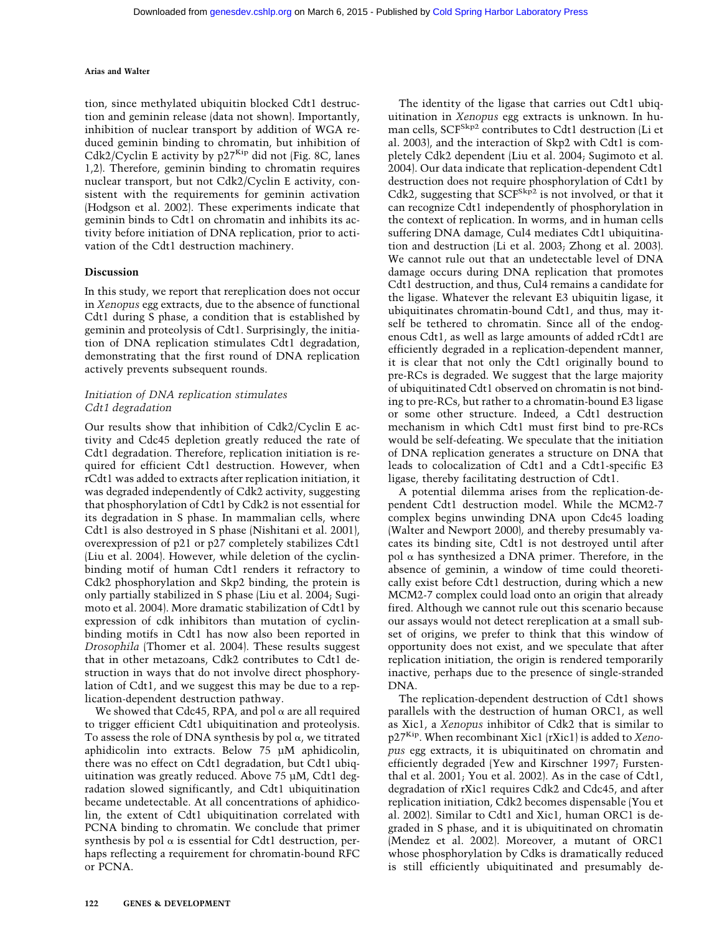tion, since methylated ubiquitin blocked Cdt1 destruction and geminin release (data not shown). Importantly, inhibition of nuclear transport by addition of WGA reduced geminin binding to chromatin, but inhibition of Cdk2/Cyclin E activity by  $p27^{Kip}$  did not (Fig. 8C, lanes 1,2). Therefore, geminin binding to chromatin requires nuclear transport, but not Cdk2/Cyclin E activity, consistent with the requirements for geminin activation (Hodgson et al. 2002). These experiments indicate that geminin binds to Cdt1 on chromatin and inhibits its activity before initiation of DNA replication, prior to activation of the Cdt1 destruction machinery.

#### **Discussion**

In this study, we report that rereplication does not occur in *Xenopus* egg extracts, due to the absence of functional Cdt1 during S phase, a condition that is established by geminin and proteolysis of Cdt1. Surprisingly, the initiation of DNA replication stimulates Cdt1 degradation, demonstrating that the first round of DNA replication actively prevents subsequent rounds.

# *Initiation of DNA replication stimulates Cdt1 degradation*

Our results show that inhibition of Cdk2/Cyclin E activity and Cdc45 depletion greatly reduced the rate of Cdt1 degradation. Therefore, replication initiation is required for efficient Cdt1 destruction. However, when rCdt1 was added to extracts after replication initiation, it was degraded independently of Cdk2 activity, suggesting that phosphorylation of Cdt1 by Cdk2 is not essential for its degradation in S phase. In mammalian cells, where Cdt1 is also destroyed in S phase (Nishitani et al. 2001), overexpression of p21 or p27 completely stabilizes Cdt1 (Liu et al. 2004). However, while deletion of the cyclinbinding motif of human Cdt1 renders it refractory to Cdk2 phosphorylation and Skp2 binding, the protein is only partially stabilized in S phase (Liu et al. 2004; Sugimoto et al. 2004). More dramatic stabilization of Cdt1 by expression of cdk inhibitors than mutation of cyclinbinding motifs in Cdt1 has now also been reported in *Drosophila* (Thomer et al. 2004). These results suggest that in other metazoans, Cdk2 contributes to Cdt1 destruction in ways that do not involve direct phosphorylation of Cdt1, and we suggest this may be due to a replication-dependent destruction pathway.

We showed that Cdc45, RPA, and pol  $\alpha$  are all required to trigger efficient Cdt1 ubiquitination and proteolysis. To assess the role of DNA synthesis by pol  $\alpha$ , we titrated aphidicolin into extracts. Below 75 µM aphidicolin, there was no effect on Cdt1 degradation, but Cdt1 ubiquitination was greatly reduced. Above 75 µM, Cdt1 degradation slowed significantly, and Cdt1 ubiquitination became undetectable. At all concentrations of aphidicolin, the extent of Cdt1 ubiquitination correlated with PCNA binding to chromatin. We conclude that primer synthesis by pol  $\alpha$  is essential for Cdt1 destruction, perhaps reflecting a requirement for chromatin-bound RFC or PCNA.

The identity of the ligase that carries out Cdt1 ubiquitination in *Xenopus* egg extracts is unknown. In human cells, SCF<sup>Skp2</sup> contributes to Cdt1 destruction (Li et al. 2003), and the interaction of Skp2 with Cdt1 is completely Cdk2 dependent (Liu et al. 2004; Sugimoto et al. 2004). Our data indicate that replication-dependent Cdt1 destruction does not require phosphorylation of Cdt1 by Cdk2, suggesting that SCF<sup>Skp2</sup> is not involved, or that it can recognize Cdt1 independently of phosphorylation in the context of replication. In worms, and in human cells suffering DNA damage, Cul4 mediates Cdt1 ubiquitination and destruction (Li et al. 2003; Zhong et al. 2003). We cannot rule out that an undetectable level of DNA damage occurs during DNA replication that promotes Cdt1 destruction, and thus, Cul4 remains a candidate for the ligase. Whatever the relevant E3 ubiquitin ligase, it ubiquitinates chromatin-bound Cdt1, and thus, may itself be tethered to chromatin. Since all of the endogenous Cdt1, as well as large amounts of added rCdt1 are efficiently degraded in a replication-dependent manner, it is clear that not only the Cdt1 originally bound to pre-RCs is degraded. We suggest that the large majority of ubiquitinated Cdt1 observed on chromatin is not binding to pre-RCs, but rather to a chromatin-bound E3 ligase or some other structure. Indeed, a Cdt1 destruction mechanism in which Cdt1 must first bind to pre-RCs would be self-defeating. We speculate that the initiation of DNA replication generates a structure on DNA that leads to colocalization of Cdt1 and a Cdt1-specific E3 ligase, thereby facilitating destruction of Cdt1.

A potential dilemma arises from the replication-dependent Cdt1 destruction model. While the MCM2-7 complex begins unwinding DNA upon Cdc45 loading (Walter and Newport 2000), and thereby presumably vacates its binding site, Cdt1 is not destroyed until after pol  $\alpha$  has synthesized a DNA primer. Therefore, in the absence of geminin, a window of time could theoretically exist before Cdt1 destruction, during which a new MCM2-7 complex could load onto an origin that already fired. Although we cannot rule out this scenario because our assays would not detect rereplication at a small subset of origins, we prefer to think that this window of opportunity does not exist, and we speculate that after replication initiation, the origin is rendered temporarily inactive, perhaps due to the presence of single-stranded DNA.

The replication-dependent destruction of Cdt1 shows parallels with the destruction of human ORC1, as well as Xic1, a *Xenopus* inhibitor of Cdk2 that is similar to p27Kip. When recombinant Xic1 (rXic1) is added to *Xenopus* egg extracts, it is ubiquitinated on chromatin and efficiently degraded (Yew and Kirschner 1997; Furstenthal et al. 2001; You et al. 2002). As in the case of Cdt1, degradation of rXic1 requires Cdk2 and Cdc45, and after replication initiation, Cdk2 becomes dispensable (You et al. 2002). Similar to Cdt1 and Xic1, human ORC1 is degraded in S phase, and it is ubiquitinated on chromatin (Mendez et al. 2002). Moreover, a mutant of ORC1 whose phosphorylation by Cdks is dramatically reduced is still efficiently ubiquitinated and presumably de-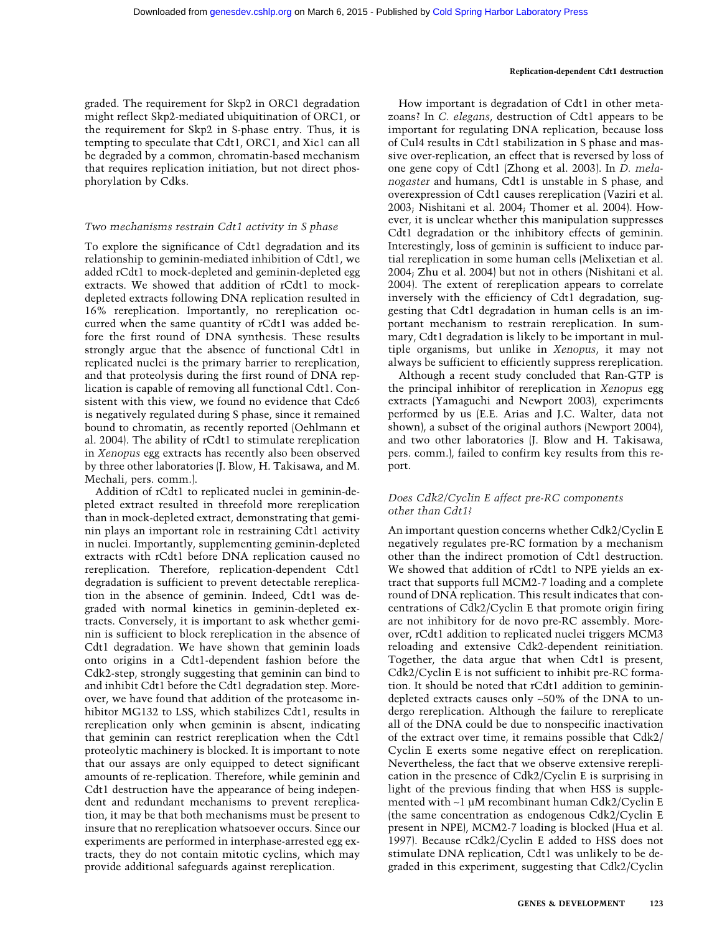graded. The requirement for Skp2 in ORC1 degradation might reflect Skp2-mediated ubiquitination of ORC1, or the requirement for Skp2 in S-phase entry. Thus, it is tempting to speculate that Cdt1, ORC1, and Xic1 can all be degraded by a common, chromatin-based mechanism that requires replication initiation, but not direct phosphorylation by Cdks.

# *Two mechanisms restrain Cdt1 activity in S phase*

To explore the significance of Cdt1 degradation and its relationship to geminin-mediated inhibition of Cdt1, we added rCdt1 to mock-depleted and geminin-depleted egg extracts. We showed that addition of rCdt1 to mockdepleted extracts following DNA replication resulted in 16% rereplication. Importantly, no rereplication occurred when the same quantity of rCdt1 was added before the first round of DNA synthesis. These results strongly argue that the absence of functional Cdt1 in replicated nuclei is the primary barrier to rereplication, and that proteolysis during the first round of DNA replication is capable of removing all functional Cdt1. Consistent with this view, we found no evidence that Cdc6 is negatively regulated during S phase, since it remained bound to chromatin, as recently reported (Oehlmann et al. 2004). The ability of rCdt1 to stimulate rereplication in *Xenopus* egg extracts has recently also been observed by three other laboratories (J. Blow, H. Takisawa, and M. Mechali, pers. comm.).

Addition of rCdt1 to replicated nuclei in geminin-depleted extract resulted in threefold more rereplication than in mock-depleted extract, demonstrating that geminin plays an important role in restraining Cdt1 activity in nuclei. Importantly, supplementing geminin-depleted extracts with rCdt1 before DNA replication caused no rereplication. Therefore, replication-dependent Cdt1 degradation is sufficient to prevent detectable rereplication in the absence of geminin. Indeed, Cdt1 was degraded with normal kinetics in geminin-depleted extracts. Conversely, it is important to ask whether geminin is sufficient to block rereplication in the absence of Cdt1 degradation. We have shown that geminin loads onto origins in a Cdt1-dependent fashion before the Cdk2-step, strongly suggesting that geminin can bind to and inhibit Cdt1 before the Cdt1 degradation step. Moreover, we have found that addition of the proteasome inhibitor MG132 to LSS, which stabilizes Cdt1, results in rereplication only when geminin is absent, indicating that geminin can restrict rereplication when the Cdt1 proteolytic machinery is blocked. It is important to note that our assays are only equipped to detect significant amounts of re-replication. Therefore, while geminin and Cdt1 destruction have the appearance of being independent and redundant mechanisms to prevent rereplication, it may be that both mechanisms must be present to insure that no rereplication whatsoever occurs. Since our experiments are performed in interphase-arrested egg extracts, they do not contain mitotic cyclins, which may provide additional safeguards against rereplication.

How important is degradation of Cdt1 in other metazoans? In *C. elegans*, destruction of Cdt1 appears to be important for regulating DNA replication, because loss of Cul4 results in Cdt1 stabilization in S phase and massive over-replication, an effect that is reversed by loss of one gene copy of Cdt1 (Zhong et al. 2003). In *D. melanogaster* and humans, Cdt1 is unstable in S phase, and overexpression of Cdt1 causes rereplication (Vaziri et al. 2003; Nishitani et al. 2004; Thomer et al. 2004). However, it is unclear whether this manipulation suppresses Cdt1 degradation or the inhibitory effects of geminin. Interestingly, loss of geminin is sufficient to induce partial rereplication in some human cells (Melixetian et al. 2004; Zhu et al. 2004) but not in others (Nishitani et al. 2004). The extent of rereplication appears to correlate inversely with the efficiency of Cdt1 degradation, suggesting that Cdt1 degradation in human cells is an important mechanism to restrain rereplication. In summary, Cdt1 degradation is likely to be important in multiple organisms, but unlike in *Xenopus*, it may not always be sufficient to efficiently suppress rereplication.

Although a recent study concluded that Ran-GTP is the principal inhibitor of rereplication in *Xenopus* egg extracts (Yamaguchi and Newport 2003), experiments performed by us (E.E. Arias and J.C. Walter, data not shown), a subset of the original authors (Newport 2004), and two other laboratories (J. Blow and H. Takisawa, pers. comm.), failed to confirm key results from this report.

# *Does Cdk2/Cyclin E affect pre-RC components other than Cdt1?*

An important question concerns whether Cdk2/Cyclin E negatively regulates pre-RC formation by a mechanism other than the indirect promotion of Cdt1 destruction. We showed that addition of rCdt1 to NPE yields an extract that supports full MCM2-7 loading and a complete round of DNA replication. This result indicates that concentrations of Cdk2/Cyclin E that promote origin firing are not inhibitory for de novo pre-RC assembly. Moreover, rCdt1 addition to replicated nuclei triggers MCM3 reloading and extensive Cdk2-dependent reinitiation. Together, the data argue that when Cdt1 is present, Cdk2/Cyclin E is not sufficient to inhibit pre-RC formation. It should be noted that rCdt1 addition to geminindepleted extracts causes only ∼50% of the DNA to undergo rereplication. Although the failure to rereplicate all of the DNA could be due to nonspecific inactivation of the extract over time, it remains possible that Cdk2/ Cyclin E exerts some negative effect on rereplication. Nevertheless, the fact that we observe extensive rereplication in the presence of Cdk2/Cyclin E is surprising in light of the previous finding that when HSS is supplemented with ∼1 µM recombinant human Cdk2/Cyclin E (the same concentration as endogenous Cdk2/Cyclin E present in NPE), MCM2-7 loading is blocked (Hua et al. 1997). Because rCdk2/Cyclin E added to HSS does not stimulate DNA replication, Cdt1 was unlikely to be degraded in this experiment, suggesting that Cdk2/Cyclin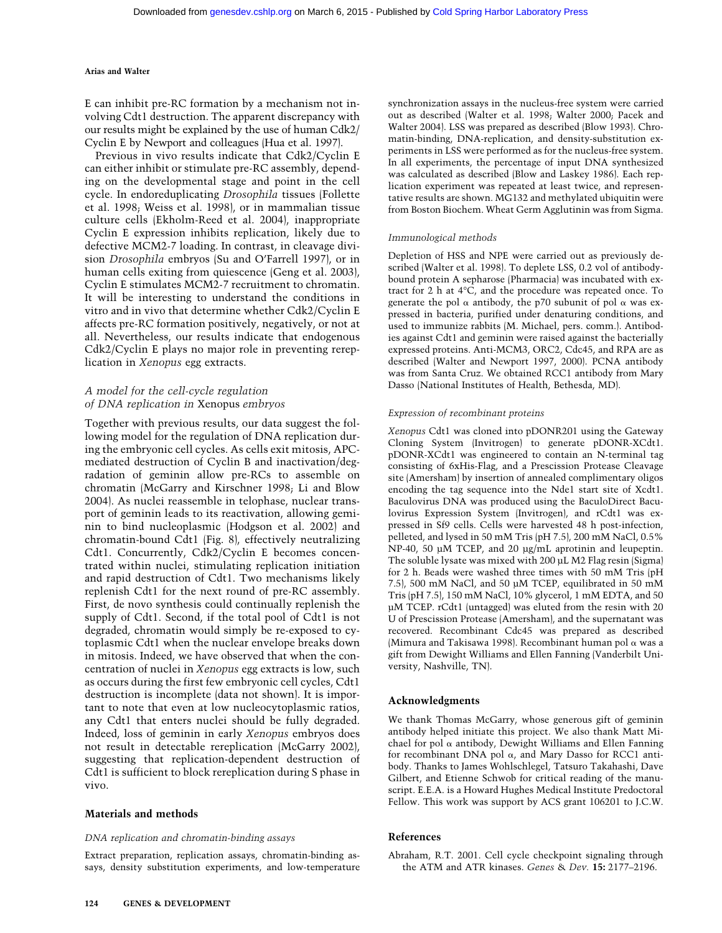E can inhibit pre-RC formation by a mechanism not involving Cdt1 destruction. The apparent discrepancy with our results might be explained by the use of human Cdk2/ Cyclin E by Newport and colleagues (Hua et al. 1997).

Previous in vivo results indicate that Cdk2/Cyclin E can either inhibit or stimulate pre-RC assembly, depending on the developmental stage and point in the cell cycle. In endoreduplicating *Drosophila* tissues (Follette et al. 1998; Weiss et al. 1998), or in mammalian tissue culture cells (Ekholm-Reed et al. 2004), inappropriate Cyclin E expression inhibits replication, likely due to defective MCM2-7 loading. In contrast, in cleavage division *Drosophila* embryos (Su and O'Farrell 1997), or in human cells exiting from quiescence (Geng et al. 2003), Cyclin E stimulates MCM2-7 recruitment to chromatin. It will be interesting to understand the conditions in vitro and in vivo that determine whether Cdk2/Cyclin E affects pre-RC formation positively, negatively, or not at all. Nevertheless, our results indicate that endogenous Cdk2/Cyclin E plays no major role in preventing rereplication in *Xenopus* egg extracts.

# *A model for the cell-cycle regulation of DNA replication in* Xenopus *embryos*

Together with previous results, our data suggest the following model for the regulation of DNA replication during the embryonic cell cycles. As cells exit mitosis, APCmediated destruction of Cyclin B and inactivation/degradation of geminin allow pre-RCs to assemble on chromatin (McGarry and Kirschner 1998; Li and Blow 2004). As nuclei reassemble in telophase, nuclear transport of geminin leads to its reactivation, allowing geminin to bind nucleoplasmic (Hodgson et al. 2002) and chromatin-bound Cdt1 (Fig. 8), effectively neutralizing Cdt1. Concurrently, Cdk2/Cyclin E becomes concentrated within nuclei, stimulating replication initiation and rapid destruction of Cdt1. Two mechanisms likely replenish Cdt1 for the next round of pre-RC assembly. First, de novo synthesis could continually replenish the supply of Cdt1. Second, if the total pool of Cdt1 is not degraded, chromatin would simply be re-exposed to cytoplasmic Cdt1 when the nuclear envelope breaks down in mitosis. Indeed, we have observed that when the concentration of nuclei in *Xenopus* egg extracts is low, such as occurs during the first few embryonic cell cycles, Cdt1 destruction is incomplete (data not shown). It is important to note that even at low nucleocytoplasmic ratios, any Cdt1 that enters nuclei should be fully degraded. Indeed, loss of geminin in early *Xenopus* embryos does not result in detectable rereplication (McGarry 2002), suggesting that replication-dependent destruction of Cdt1 is sufficient to block rereplication during S phase in vivo.

#### **Materials and methods**

#### *DNA replication and chromatin-binding assays*

Extract preparation, replication assays, chromatin-binding assays, density substitution experiments, and low-temperature synchronization assays in the nucleus-free system were carried out as described (Walter et al. 1998; Walter 2000; Pacek and Walter 2004). LSS was prepared as described (Blow 1993). Chromatin-binding, DNA-replication, and density-substitution experiments in LSS were performed as for the nucleus-free system. In all experiments, the percentage of input DNA synthesized was calculated as described (Blow and Laskey 1986). Each replication experiment was repeated at least twice, and representative results are shown. MG132 and methylated ubiquitin were from Boston Biochem. Wheat Germ Agglutinin was from Sigma.

#### *Immunological methods*

Depletion of HSS and NPE were carried out as previously described (Walter et al. 1998). To deplete LSS, 0.2 vol of antibodybound protein A sepharose (Pharmacia) was incubated with extract for 2 h at 4°C, and the procedure was repeated once. To generate the pol  $\alpha$  antibody, the p70 subunit of pol  $\alpha$  was expressed in bacteria, purified under denaturing conditions, and used to immunize rabbits (M. Michael, pers. comm.). Antibodies against Cdt1 and geminin were raised against the bacterially expressed proteins. Anti-MCM3, ORC2, Cdc45, and RPA are as described (Walter and Newport 1997, 2000). PCNA antibody was from Santa Cruz. We obtained RCC1 antibody from Mary Dasso (National Institutes of Health, Bethesda, MD).

#### *Expression of recombinant proteins*

*Xenopus* Cdt1 was cloned into pDONR201 using the Gateway Cloning System (Invitrogen) to generate pDONR-XCdt1. pDONR-XCdt1 was engineered to contain an N-terminal tag consisting of 6xHis-Flag, and a Prescission Protease Cleavage site (Amersham) by insertion of annealed complimentary oligos encoding the tag sequence into the Nde1 start site of Xcdt1. Baculovirus DNA was produced using the BaculoDirect Baculovirus Expression System (Invitrogen), and rCdt1 was expressed in Sf9 cells. Cells were harvested 48 h post-infection, pelleted, and lysed in 50 mM Tris (pH 7.5), 200 mM NaCl, 0.5% NP-40, 50 µM TCEP, and 20 µg/mL aprotinin and leupeptin. The soluble lysate was mixed with 200 µL M2 Flag resin (Sigma) for 2 h. Beads were washed three times with 50 mM Tris (pH 7.5), 500 mM NaCl, and 50 µM TCEP, equilibrated in 50 mM Tris (pH 7.5), 150 mM NaCl, 10% glycerol, 1 mM EDTA, and 50 µM TCEP. rCdt1 (untagged) was eluted from the resin with 20 U of Prescission Protease (Amersham), and the supernatant was recovered. Recombinant Cdc45 was prepared as described (Mimura and Takisawa 1998). Recombinant human pol  $\alpha$  was a gift from Dewight Williams and Ellen Fanning (Vanderbilt University, Nashville, TN).

#### **Acknowledgments**

We thank Thomas McGarry, whose generous gift of geminin antibody helped initiate this project. We also thank Matt Michael for pol  $\alpha$  antibody, Dewight Williams and Ellen Fanning for recombinant DNA pol  $\alpha$ , and Mary Dasso for RCC1 antibody. Thanks to James Wohlschlegel, Tatsuro Takahashi, Dave Gilbert, and Etienne Schwob for critical reading of the manuscript. E.E.A. is a Howard Hughes Medical Institute Predoctoral Fellow. This work was support by ACS grant 106201 to J.C.W.

#### **References**

Abraham, R.T. 2001. Cell cycle checkpoint signaling through the ATM and ATR kinases. *Genes* & *Dev.* **15:** 2177–2196.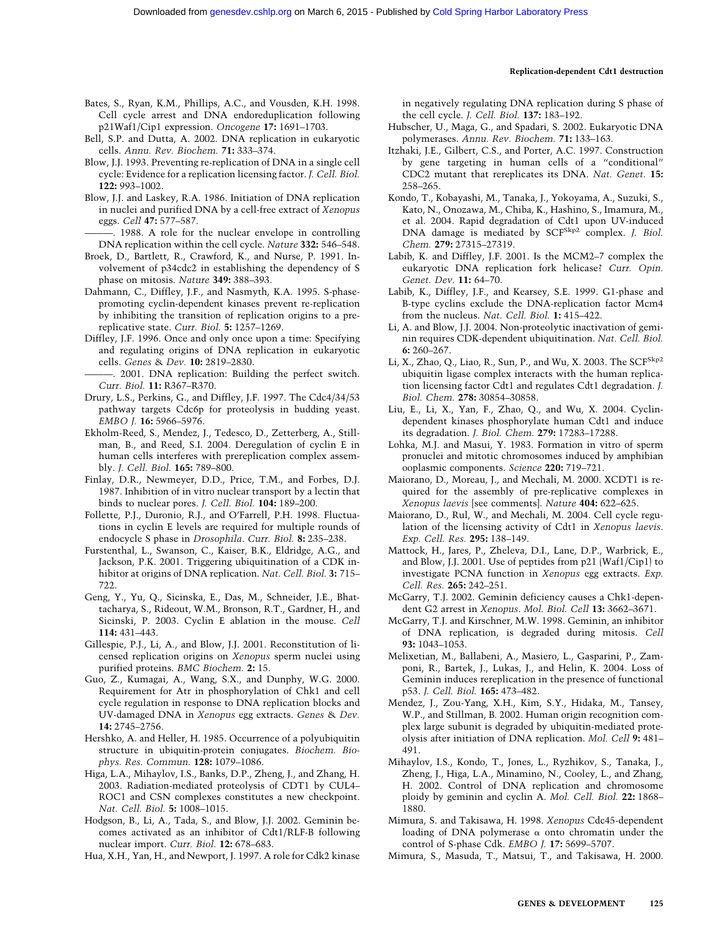- Bates, S., Ryan, K.M., Phillips, A.C., and Vousden, K.H. 1998. Cell cycle arrest and DNA endoreduplication following p21Waf1/Cip1 expression. *Oncogene* **17:** 1691–1703.
- Bell, S.P. and Dutta, A. 2002. DNA replication in eukaryotic cells. *Annu. Rev. Biochem.* **71:** 333–374.
- Blow, J.J. 1993. Preventing re-replication of DNA in a single cell cycle: Evidence for a replication licensing factor. *J. Cell. Biol.* **122:** 993–1002.
- Blow, J.J. and Laskey, R.A. 1986. Initiation of DNA replication in nuclei and purified DNA by a cell-free extract of *Xenopus* eggs. *Cell* **47:** 577–587.
- ———. 1988. A role for the nuclear envelope in controlling DNA replication within the cell cycle. *Nature* **332:** 546–548.
- Broek, D., Bartlett, R., Crawford, K., and Nurse, P. 1991. Involvement of p34cdc2 in establishing the dependency of S phase on mitosis. *Nature* **349:** 388–393.
- Dahmann, C., Diffley, J.F., and Nasmyth, K.A. 1995. S-phasepromoting cyclin-dependent kinases prevent re-replication by inhibiting the transition of replication origins to a prereplicative state. *Curr. Biol.* **5:** 1257–1269.
- Diffley, J.F. 1996. Once and only once upon a time: Specifying and regulating origins of DNA replication in eukaryotic cells. *Genes* & *Dev.* **10:** 2819–2830.
- ———. 2001. DNA replication: Building the perfect switch. *Curr. Biol.* **11:** R367–R370.
- Drury, L.S., Perkins, G., and Diffley, J.F. 1997. The Cdc4/34/53 pathway targets Cdc6p for proteolysis in budding yeast. *EMBO J.* **16:** 5966–5976.
- Ekholm-Reed, S., Mendez, J., Tedesco, D., Zetterberg, A., Stillman, B., and Reed, S.I. 2004. Deregulation of cyclin E in human cells interferes with prereplication complex assembly. *J. Cell. Biol.* **165:** 789–800.
- Finlay, D.R., Newmeyer, D.D., Price, T.M., and Forbes, D.J. 1987. Inhibition of in vitro nuclear transport by a lectin that binds to nuclear pores. *J. Cell. Biol.* **104:** 189–200.
- Follette, P.J., Duronio, R.J., and O'Farrell, P.H. 1998. Fluctuations in cyclin E levels are required for multiple rounds of endocycle S phase in *Drosophila*. *Curr. Biol.* **8:** 235–238.
- Furstenthal, L., Swanson, C., Kaiser, B.K., Eldridge, A.G., and Jackson, P.K. 2001. Triggering ubiquitination of a CDK inhibitor at origins of DNA replication. *Nat. Cell. Biol.* **3:** 715– 722.
- Geng, Y., Yu, Q., Sicinska, E., Das, M., Schneider, J.E., Bhattacharya, S., Rideout, W.M., Bronson, R.T., Gardner, H., and Sicinski, P. 2003. Cyclin E ablation in the mouse. *Cell* **114:** 431–443.
- Gillespie, P.J., Li, A., and Blow, J.J. 2001. Reconstitution of licensed replication origins on *Xenopus* sperm nuclei using purified proteins. *BMC Biochem.* **2:** 15.
- Guo, Z., Kumagai, A., Wang, S.X., and Dunphy, W.G. 2000. Requirement for Atr in phosphorylation of Chk1 and cell cycle regulation in response to DNA replication blocks and UV-damaged DNA in *Xenopus* egg extracts. *Genes* & *Dev.* **14:** 2745–2756.
- Hershko, A. and Heller, H. 1985. Occurrence of a polyubiquitin structure in ubiquitin-protein conjugates. *Biochem. Biophys. Res. Commun.* **128:** 1079–1086.
- Higa, L.A., Mihaylov, I.S., Banks, D.P., Zheng, J., and Zhang, H. 2003. Radiation-mediated proteolysis of CDT1 by CUL4– ROC1 and CSN complexes constitutes a new checkpoint. *Nat. Cell. Biol.* **5:** 1008–1015.
- Hodgson, B., Li, A., Tada, S., and Blow, J.J. 2002. Geminin becomes activated as an inhibitor of Cdt1/RLF-B following nuclear import. *Curr. Biol.* **12:** 678–683.
- Hua, X.H., Yan, H., and Newport, J. 1997. A role for Cdk2 kinase

in negatively regulating DNA replication during S phase of the cell cycle. *J. Cell. Biol.* **137:** 183–192.

- Hubscher, U., Maga, G., and Spadari, S. 2002. Eukaryotic DNA polymerases. *Annu. Rev. Biochem.* **71:** 133–163.
- Itzhaki, J.E., Gilbert, C.S., and Porter, A.C. 1997. Construction by gene targeting in human cells of a "conditional" CDC2 mutant that rereplicates its DNA. *Nat. Genet.* **15:** 258–265.
- Kondo, T., Kobayashi, M., Tanaka, J., Yokoyama, A., Suzuki, S., Kato, N., Onozawa, M., Chiba, K., Hashino, S., Imamura, M., et al. 2004. Rapid degradation of Cdt1 upon UV-induced DNA damage is mediated by SCF<sup>Skp2</sup> complex. *J. Biol. Chem.* **279:** 27315–27319.
- Labib, K. and Diffley, J.F. 2001. Is the MCM2–7 complex the eukaryotic DNA replication fork helicase? *Curr. Opin. Genet. Dev.* **11:** 64–70.
- Labib, K., Diffley, J.F., and Kearsey, S.E. 1999. G1-phase and B-type cyclins exclude the DNA-replication factor Mcm4 from the nucleus. *Nat. Cell. Biol.* **1:** 415–422.
- Li, A. and Blow, J.J. 2004. Non-proteolytic inactivation of geminin requires CDK-dependent ubiquitination. *Nat. Cell. Biol.* **6:** 260–267.
- Li, X., Zhao, Q., Liao, R., Sun, P., and Wu, X. 2003. The SCFSkp2 ubiquitin ligase complex interacts with the human replication licensing factor Cdt1 and regulates Cdt1 degradation. *J. Biol. Chem.* **278:** 30854–30858.
- Liu, E., Li, X., Yan, F., Zhao, Q., and Wu, X. 2004. Cyclindependent kinases phosphorylate human Cdt1 and induce its degradation. *J. Biol. Chem.* **279:** 17283–17288.
- Lohka, M.J. and Masui, Y. 1983. Formation in vitro of sperm pronuclei and mitotic chromosomes induced by amphibian ooplasmic components. *Science* **220:** 719–721.
- Maiorano, D., Moreau, J., and Mechali, M. 2000. XCDT1 is required for the assembly of pre-replicative complexes in *Xenopus laevis* [see comments]. *Nature* **404:** 622–625.
- Maiorano, D., Rul, W., and Mechali, M. 2004. Cell cycle regulation of the licensing activity of Cdt1 in *Xenopus laevis*. *Exp. Cell. Res.* **295:** 138–149.
- Mattock, H., Jares, P., Zheleva, D.I., Lane, D.P., Warbrick, E., and Blow, J.J. 2001. Use of peptides from p21 (Waf1/Cip1) to investigate PCNA function in *Xenopus* egg extracts. *Exp. Cell. Res.* **265:** 242–251.
- McGarry, T.J. 2002. Geminin deficiency causes a Chk1-dependent G2 arrest in *Xenopus*. *Mol. Biol. Cell* **13:** 3662–3671.
- McGarry, T.J. and Kirschner, M.W. 1998. Geminin, an inhibitor of DNA replication, is degraded during mitosis. *Cell* **93:** 1043–1053.
- Melixetian, M., Ballabeni, A., Masiero, L., Gasparini, P., Zamponi, R., Bartek, J., Lukas, J., and Helin, K. 2004. Loss of Geminin induces rereplication in the presence of functional p53. *J. Cell. Biol.* **165:** 473–482.
- Mendez, J., Zou-Yang, X.H., Kim, S.Y., Hidaka, M., Tansey, W.P., and Stillman, B. 2002. Human origin recognition complex large subunit is degraded by ubiquitin-mediated proteolysis after initiation of DNA replication. *Mol. Cell* **9:** 481– 491.
- Mihaylov, I.S., Kondo, T., Jones, L., Ryzhikov, S., Tanaka, J., Zheng, J., Higa, L.A., Minamino, N., Cooley, L., and Zhang, H. 2002. Control of DNA replication and chromosome ploidy by geminin and cyclin A. *Mol. Cell. Biol.* **22:** 1868– 1880.
- Mimura, S. and Takisawa, H. 1998. *Xenopus* Cdc45-dependent loading of DNA polymerase  $\alpha$  onto chromatin under the control of S-phase Cdk. *EMBO J.* **17:** 5699–5707.
- Mimura, S., Masuda, T., Matsui, T., and Takisawa, H. 2000.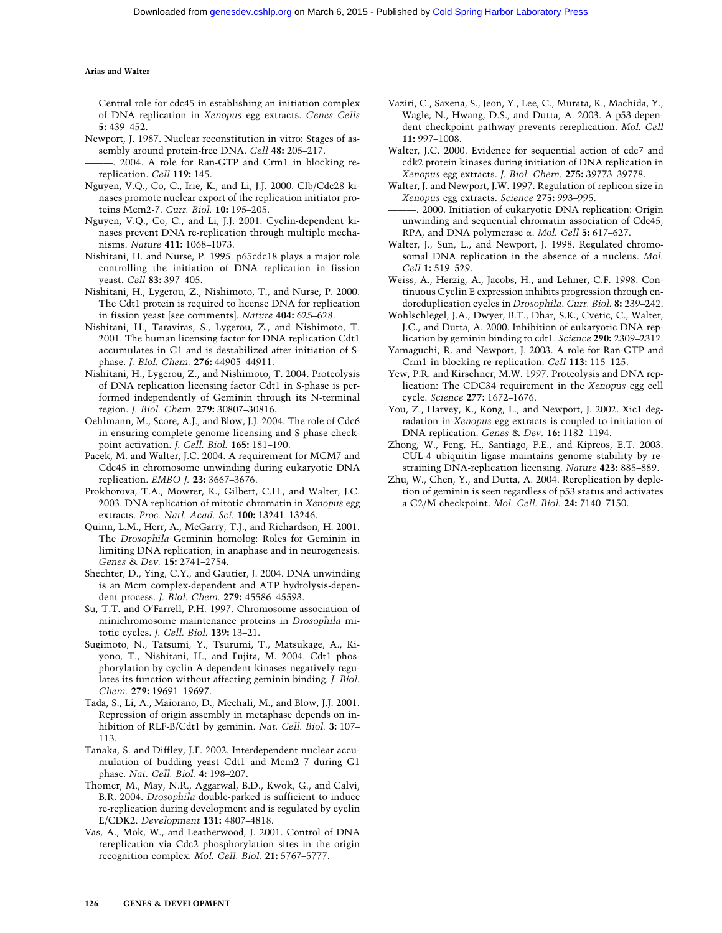Central role for cdc45 in establishing an initiation complex of DNA replication in *Xenopus* egg extracts. *Genes Cells* **5:** 439–452.

- Newport, J. 1987. Nuclear reconstitution in vitro: Stages of assembly around protein-free DNA. *Cell* **48:** 205–217.
- ———. 2004. A role for Ran-GTP and Crm1 in blocking rereplication. *Cell* **119:** 145.
- Nguyen, V.Q., Co, C., Irie, K., and Li, J.J. 2000. Clb/Cdc28 kinases promote nuclear export of the replication initiator proteins Mcm2-7. *Curr. Biol.* **10:** 195–205.
- Nguyen, V.Q., Co, C., and Li, J.J. 2001. Cyclin-dependent kinases prevent DNA re-replication through multiple mechanisms. *Nature* **411:** 1068–1073.
- Nishitani, H. and Nurse, P. 1995. p65cdc18 plays a major role controlling the initiation of DNA replication in fission yeast. *Cell* **83:** 397–405.
- Nishitani, H., Lygerou, Z., Nishimoto, T., and Nurse, P. 2000. The Cdt1 protein is required to license DNA for replication in fission yeast [see comments]. *Nature* **404:** 625–628.
- Nishitani, H., Taraviras, S., Lygerou, Z., and Nishimoto, T. 2001. The human licensing factor for DNA replication Cdt1 accumulates in G1 and is destabilized after initiation of Sphase. *J. Biol. Chem.* **276:** 44905–44911.
- Nishitani, H., Lygerou, Z., and Nishimoto, T. 2004. Proteolysis of DNA replication licensing factor Cdt1 in S-phase is performed independently of Geminin through its N-terminal region. *J. Biol. Chem.* **279:** 30807–30816.
- Oehlmann, M., Score, A.J., and Blow, J.J. 2004. The role of Cdc6 in ensuring complete genome licensing and S phase checkpoint activation. *J. Cell. Biol.* **165:** 181–190.
- Pacek, M. and Walter, J.C. 2004. A requirement for MCM7 and Cdc45 in chromosome unwinding during eukaryotic DNA replication. *EMBO J.* **23:** 3667–3676.
- Prokhorova, T.A., Mowrer, K., Gilbert, C.H., and Walter, J.C. 2003. DNA replication of mitotic chromatin in *Xenopus* egg extracts. *Proc. Natl. Acad. Sci.* **100:** 13241–13246.
- Quinn, L.M., Herr, A., McGarry, T.J., and Richardson, H. 2001. The *Drosophila* Geminin homolog: Roles for Geminin in limiting DNA replication, in anaphase and in neurogenesis. *Genes* & *Dev.* **15:** 2741–2754.
- Shechter, D., Ying, C.Y., and Gautier, J. 2004. DNA unwinding is an Mcm complex-dependent and ATP hydrolysis-dependent process. *J. Biol. Chem.* **279:** 45586–45593.
- Su, T.T. and O'Farrell, P.H. 1997. Chromosome association of minichromosome maintenance proteins in *Drosophila* mitotic cycles. *J. Cell. Biol.* **139:** 13–21.
- Sugimoto, N., Tatsumi, Y., Tsurumi, T., Matsukage, A., Kiyono, T., Nishitani, H., and Fujita, M. 2004. Cdt1 phosphorylation by cyclin A-dependent kinases negatively regulates its function without affecting geminin binding. *J. Biol. Chem.* **279:** 19691–19697.
- Tada, S., Li, A., Maiorano, D., Mechali, M., and Blow, J.J. 2001. Repression of origin assembly in metaphase depends on inhibition of RLF-B/Cdt1 by geminin. *Nat. Cell. Biol.* **3:** 107– 113.
- Tanaka, S. and Diffley, J.F. 2002. Interdependent nuclear accumulation of budding yeast Cdt1 and Mcm2–7 during G1 phase. *Nat. Cell. Biol.* **4:** 198–207.
- Thomer, M., May, N.R., Aggarwal, B.D., Kwok, G., and Calvi, B.R. 2004. *Drosophila* double-parked is sufficient to induce re-replication during development and is regulated by cyclin E/CDK2. *Development* **131:** 4807–4818.
- Vas, A., Mok, W., and Leatherwood, J. 2001. Control of DNA rereplication via Cdc2 phosphorylation sites in the origin recognition complex. *Mol. Cell. Biol.* **21:** 5767–5777.
- Vaziri, C., Saxena, S., Jeon, Y., Lee, C., Murata, K., Machida, Y., Wagle, N., Hwang, D.S., and Dutta, A. 2003. A p53-dependent checkpoint pathway prevents rereplication. *Mol. Cell* **11:** 997–1008.
- Walter, J.C. 2000. Evidence for sequential action of cdc7 and cdk2 protein kinases during initiation of DNA replication in *Xenopus* egg extracts. *J. Biol. Chem.* **275:** 39773–39778.
- Walter, J. and Newport, J.W. 1997. Regulation of replicon size in *Xenopus* egg extracts. *Science* **275:** 993–995.
- ———. 2000. Initiation of eukaryotic DNA replication: Origin unwinding and sequential chromatin association of Cdc45, RPA, and DNA polymerase α. *Mol. Cell* 5: 617-627.
- Walter, J., Sun, L., and Newport, J. 1998. Regulated chromosomal DNA replication in the absence of a nucleus. *Mol. Cell* **1:** 519–529.
- Weiss, A., Herzig, A., Jacobs, H., and Lehner, C.F. 1998. Continuous Cyclin E expression inhibits progression through endoreduplication cycles in *Drosophila*. *Curr. Biol.* **8:** 239–242.
- Wohlschlegel, J.A., Dwyer, B.T., Dhar, S.K., Cvetic, C., Walter, J.C., and Dutta, A. 2000. Inhibition of eukaryotic DNA replication by geminin binding to cdt1. *Science* **290:** 2309–2312.
- Yamaguchi, R. and Newport, J. 2003. A role for Ran-GTP and Crm1 in blocking re-replication. *Cell* **113:** 115–125.
- Yew, P.R. and Kirschner, M.W. 1997. Proteolysis and DNA replication: The CDC34 requirement in the *Xenopus* egg cell cycle. *Science* **277:** 1672–1676.
- You, Z., Harvey, K., Kong, L., and Newport, J. 2002. Xic1 degradation in *Xenopus* egg extracts is coupled to initiation of DNA replication. *Genes* & *Dev.* **16:** 1182–1194.
- Zhong, W., Feng, H., Santiago, F.E., and Kipreos, E.T. 2003. CUL-4 ubiquitin ligase maintains genome stability by restraining DNA-replication licensing. *Nature* **423:** 885–889.
- Zhu, W., Chen, Y., and Dutta, A. 2004. Rereplication by depletion of geminin is seen regardless of p53 status and activates a G2/M checkpoint. *Mol. Cell. Biol.* **24:** 7140–7150.